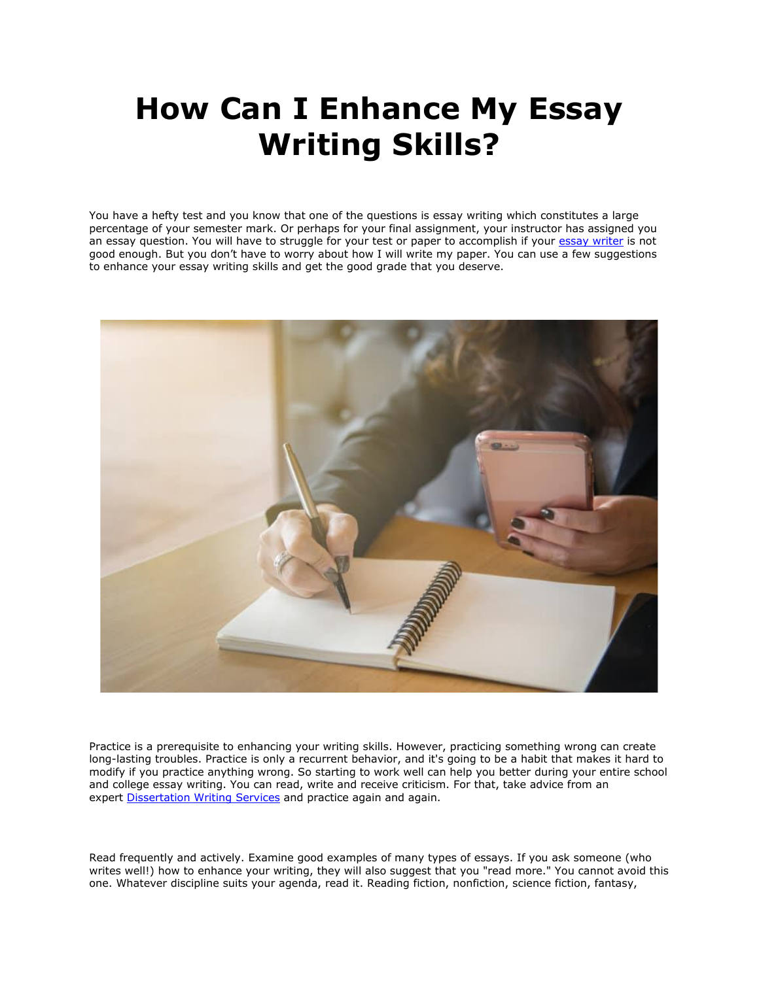## **How Can I Enhance My Essay Writing Skills?**

You have a hefty test and you know that one of the questions is essay writing which constitutes a large percentage of your semester mark. Or perhaps for your final assignment, your instructor has assigned you an essay question. You will have to struggle for your test or paper to accomplish if your [essay writer](https://essayhours.com/) is not good enough. But you don't have to worry about how I will write my paper. You can use a few suggestions to enhance your essay writing skills and get the good grade that you deserve.



Practice is a prerequisite to enhancing your writing skills. However, practicing something wrong can create long-lasting troubles. Practice is only a recurrent behavior, and it's going to be a habit that makes it hard to modify if you practice anything wrong. So starting to work well can help you better during your entire school and college essay writing. You can read, write and receive criticism. For that, take advice from an expert [Dissertation Writing Services](https://gradschoolgenius.com/) and practice again and again.

Read frequently and actively. Examine good examples of many types of essays. If you ask someone (who writes well!) how to enhance your writing, they will also suggest that you "read more." You cannot avoid this one. Whatever discipline suits your agenda, read it. Reading fiction, nonfiction, science fiction, fantasy,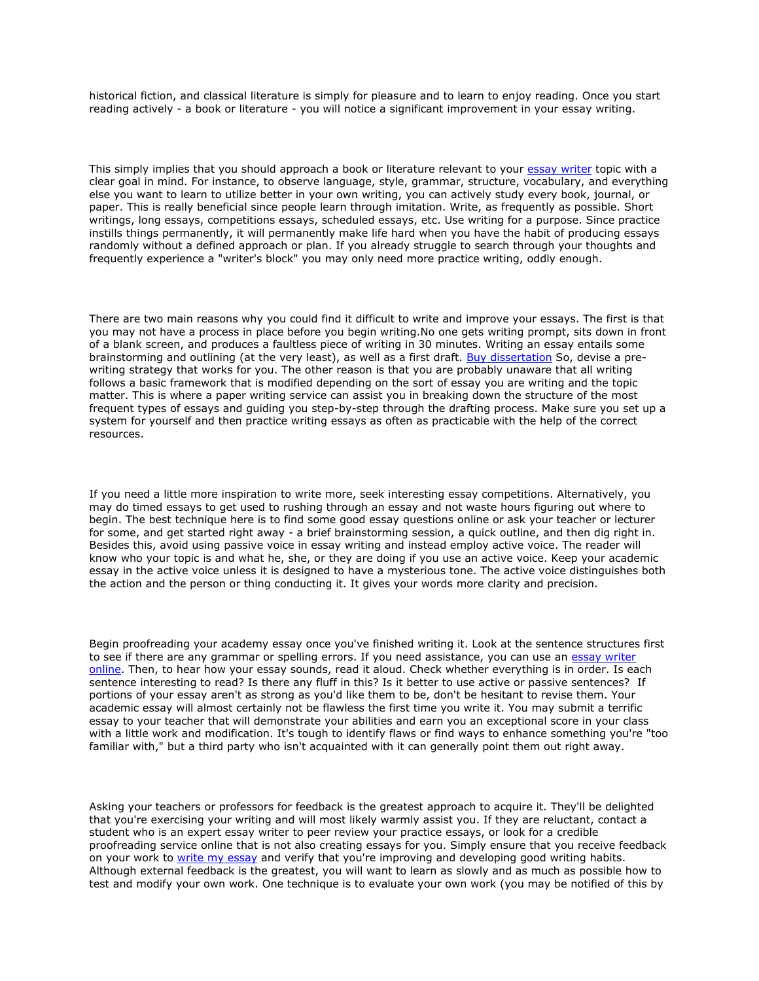historical fiction, and classical literature is simply for pleasure and to learn to enjoy reading. Once you start reading actively - a book or literature - you will notice a significant improvement in your essay writing.

This simply implies that you should approach a book or literature relevant to your [essay writer](https://www.freeessaywriter.net/) topic with a clear goal in mind. For instance, to observe language, style, grammar, structure, vocabulary, and everything else you want to learn to utilize better in your own writing, you can actively study every book, journal, or paper. This is really beneficial since people learn through imitation. Write, as frequently as possible. Short writings, long essays, competitions essays, scheduled essays, etc. Use writing for a purpose. Since practice instills things permanently, it will permanently make life hard when you have the habit of producing essays randomly without a defined approach or plan. If you already struggle to search through your thoughts and frequently experience a "writer's block" you may only need more practice writing, oddly enough.

There are two main reasons why you could find it difficult to write and improve your essays. The first is that you may not have a process in place before you begin writing.No one gets writing prompt, sits down in front of a blank screen, and produces a faultless piece of writing in 30 minutes. Writing an essay entails some brainstorming and outlining (at the very least), as well as a first draft. [Buy dissertation](https://gradschoolgenius.com/) So, devise a prewriting strategy that works for you. The other reason is that you are probably unaware that all writing follows a basic framework that is modified depending on the sort of essay you are writing and the topic matter. This is where a paper writing service can assist you in breaking down the structure of the most frequent types of essays and guiding you step-by-step through the drafting process. Make sure you set up a system for yourself and then practice writing essays as often as practicable with the help of the correct resources.

If you need a little more inspiration to write more, seek interesting essay competitions. Alternatively, you may do timed essays to get used to rushing through an essay and not waste hours figuring out where to begin. The best technique here is to find some good essay questions online or ask your teacher or lecturer for some, and get started right away - a brief brainstorming session, a quick outline, and then dig right in. Besides this, avoid using passive voice in essay writing and instead employ active voice. The reader will know who your topic is and what he, she, or they are doing if you use an active voice. Keep your academic essay in the active voice unless it is designed to have a mysterious tone. The active voice distinguishes both the action and the person or thing conducting it. It gives your words more clarity and precision.

Begin proofreading your academy essay once you've finished writing it. Look at the sentence structures first to see if there are any grammar or spelling errors. If you need assistance, you can use an [essay writer](https://youressaywriter.net/)  [online.](https://youressaywriter.net/) Then, to hear how your essay sounds, read it aloud. Check whether everything is in order. Is each sentence interesting to read? Is there any fluff in this? Is it better to use active or passive sentences? If portions of your essay aren't as strong as you'd like them to be, don't be hesitant to revise them. Your academic essay will almost certainly not be flawless the first time you write it. You may submit a terrific essay to your teacher that will demonstrate your abilities and earn you an exceptional score in your class with a little work and modification. It's tough to identify flaws or find ways to enhance something you're "too familiar with," but a third party who isn't acquainted with it can generally point them out right away.

Asking your teachers or professors for feedback is the greatest approach to acquire it. They'll be delighted that you're exercising your writing and will most likely warmly assist you. If they are reluctant, contact a student who is an expert essay writer to peer review your practice essays, or look for a credible proofreading service online that is not also creating essays for you. Simply ensure that you receive feedback on your work to [write my essay](https://www.writemyessay.help/) and verify that you're improving and developing good writing habits. Although external feedback is the greatest, you will want to learn as slowly and as much as possible how to test and modify your own work. One technique is to evaluate your own work (you may be notified of this by